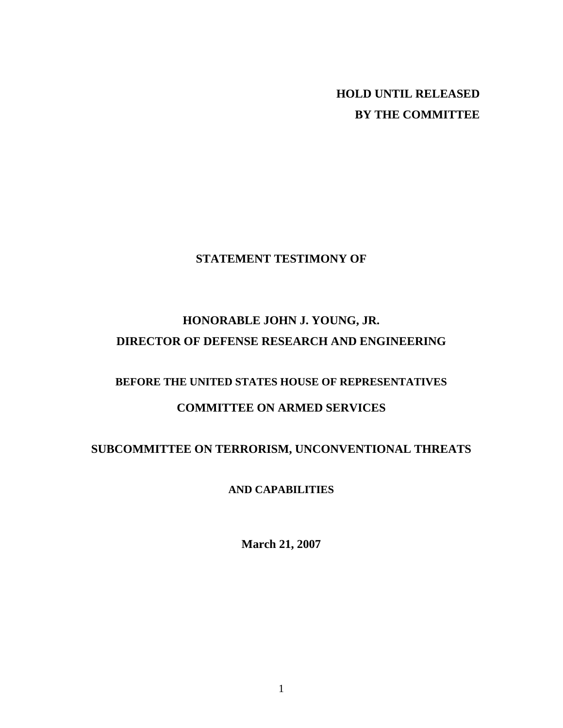**HOLD UNTIL RELEASED BY THE COMMITTEE** 

## **STATEMENT TESTIMONY OF**

# **HONORABLE JOHN J. YOUNG, JR. DIRECTOR OF DEFENSE RESEARCH AND ENGINEERING**

# **BEFORE THE UNITED STATES HOUSE OF REPRESENTATIVES**

# **COMMITTEE ON ARMED SERVICES**

# **SUBCOMMITTEE ON TERRORISM, UNCONVENTIONAL THREATS**

## **AND CAPABILITIES**

**March 21, 2007**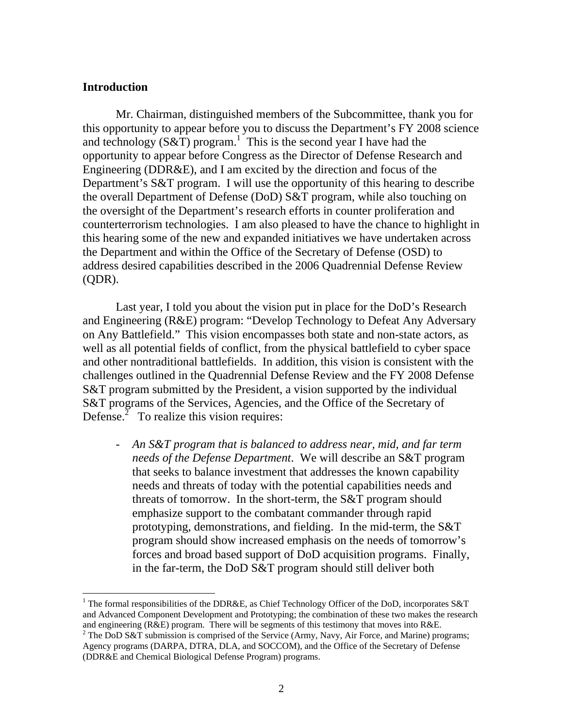### **Introduction**

 $\overline{a}$ 

Mr. Chairman, distinguished members of the Subcommittee, thank you for this opportunity to appear before you to discuss the Department's FY 2008 science and technology  $(S&\mathcal{T})$  program.<sup>[1](#page-1-0)</sup> This is the second year I have had the opportunity to appear before Congress as the Director of Defense Research and Engineering (DDR&E), and I am excited by the direction and focus of the Department's S&T program. I will use the opportunity of this hearing to describe the overall Department of Defense (DoD) S&T program, while also touching on the oversight of the Department's research efforts in counter proliferation and counterterrorism technologies. I am also pleased to have the chance to highlight in this hearing some of the new and expanded initiatives we have undertaken across the Department and within the Office of the Secretary of Defense (OSD) to address desired capabilities described in the 2006 Quadrennial Defense Review (QDR).

Last year, I told you about the vision put in place for the DoD's Research and Engineering (R&E) program: "Develop Technology to Defeat Any Adversary on Any Battlefield." This vision encompasses both state and non-state actors, as well as all potential fields of conflict, from the physical battlefield to cyber space and other nontraditional battlefields. In addition, this vision is consistent with the challenges outlined in the Quadrennial Defense Review and the FY 2008 Defense S&T program submitted by the President, a vision supported by the individual S&T programs of the Services, Agencies, and the Office of the Secretary of Defense.<sup> $\overline{2}$  $\overline{2}$  $\overline{2}$ </sup> To realize this vision requires:

- *An S&T program that is balanced to address near, mid, and far term needs of the Defense Department*. We will describe an S&T program that seeks to balance investment that addresses the known capability needs and threats of today with the potential capabilities needs and threats of tomorrow. In the short-term, the S&T program should emphasize support to the combatant commander through rapid prototyping, demonstrations, and fielding. In the mid-term, the S&T program should show increased emphasis on the needs of tomorrow's forces and broad based support of DoD acquisition programs. Finally, in the far-term, the DoD S&T program should still deliver both

<span id="page-1-0"></span><sup>&</sup>lt;sup>1</sup> The formal responsibilities of the DDR&E, as Chief Technology Officer of the DoD, incorporates S&T and Advanced Component Development and Prototyping; the combination of these two makes the research and engineering (R&E) program. There will be segments of this testimony that moves into R&E. 2

<span id="page-1-1"></span> $2$  The DoD S&T submission is comprised of the Service (Army, Navy, Air Force, and Marine) programs; Agency programs (DARPA, DTRA, DLA, and SOCCOM), and the Office of the Secretary of Defense (DDR&E and Chemical Biological Defense Program) programs.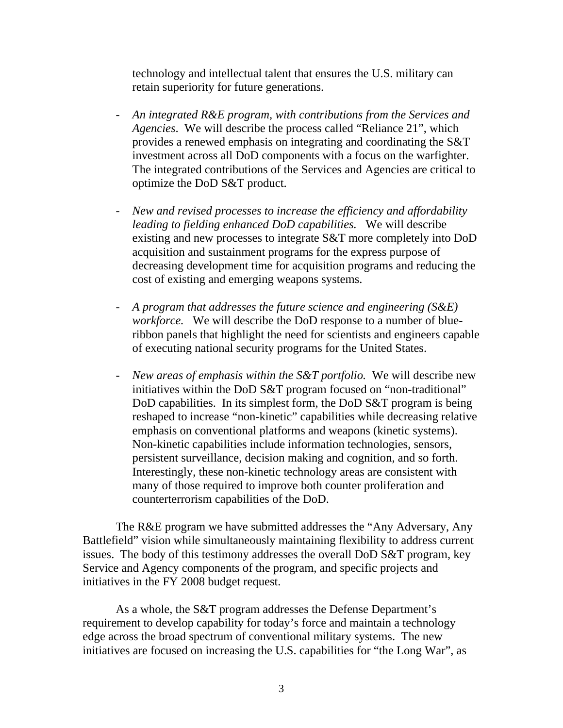technology and intellectual talent that ensures the U.S. military can retain superiority for future generations.

- *An integrated R&E program, with contributions from the Services and Agencies*. We will describe the process called "Reliance 21", which provides a renewed emphasis on integrating and coordinating the S&T investment across all DoD components with a focus on the warfighter. The integrated contributions of the Services and Agencies are critical to optimize the DoD S&T product.
- *New and revised processes to increase the efficiency and affordability leading to fielding enhanced DoD capabilities.* We will describe existing and new processes to integrate S&T more completely into DoD acquisition and sustainment programs for the express purpose of decreasing development time for acquisition programs and reducing the cost of existing and emerging weapons systems.
- *A program that addresses the future science and engineering (S&E) workforce.* We will describe the DoD response to a number of blueribbon panels that highlight the need for scientists and engineers capable of executing national security programs for the United States.
- *New areas of emphasis within the S&T portfolio.* We will describe new initiatives within the DoD S&T program focused on "non-traditional" DoD capabilities. In its simplest form, the DoD S&T program is being reshaped to increase "non-kinetic" capabilities while decreasing relative emphasis on conventional platforms and weapons (kinetic systems). Non-kinetic capabilities include information technologies, sensors, persistent surveillance, decision making and cognition, and so forth. Interestingly, these non-kinetic technology areas are consistent with many of those required to improve both counter proliferation and counterterrorism capabilities of the DoD.

The R&E program we have submitted addresses the "Any Adversary, Any Battlefield" vision while simultaneously maintaining flexibility to address current issues. The body of this testimony addresses the overall DoD S&T program, key Service and Agency components of the program, and specific projects and initiatives in the FY 2008 budget request.

As a whole, the S&T program addresses the Defense Department's requirement to develop capability for today's force and maintain a technology edge across the broad spectrum of conventional military systems. The new initiatives are focused on increasing the U.S. capabilities for "the Long War", as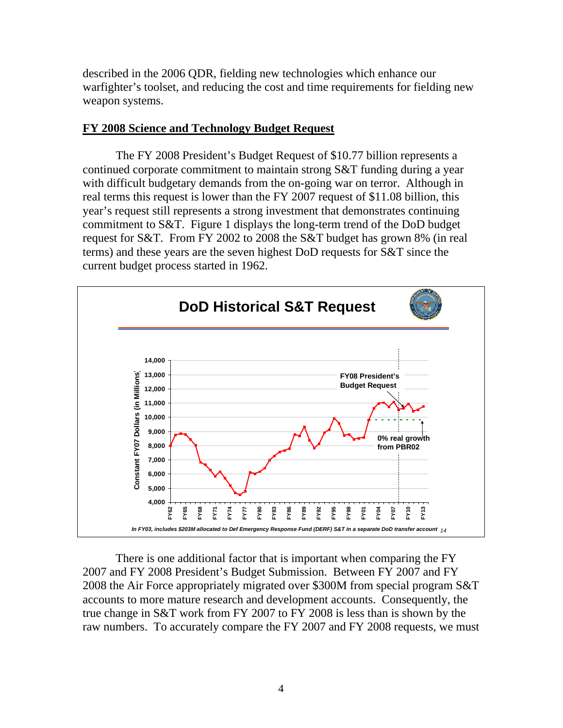described in the 2006 QDR, fielding new technologies which enhance our warfighter's toolset, and reducing the cost and time requirements for fielding new weapon systems.

### **FY 2008 Science and Technology Budget Request**

The FY 2008 President's Budget Request of \$10.77 billion represents a continued corporate commitment to maintain strong S&T funding during a year with difficult budgetary demands from the on-going war on terror. Although in real terms this request is lower than the FY 2007 request of \$11.08 billion, this year's request still represents a strong investment that demonstrates continuing commitment to S&T. Figure 1 displays the long-term trend of the DoD budget request for S&T. From FY 2002 to 2008 the S&T budget has grown 8% (in real terms) and these years are the seven highest DoD requests for S&T since the current budget process started in 1962.



There is one additional factor that is important when comparing the FY 2007 and FY 2008 President's Budget Submission. Between FY 2007 and FY 2008 the Air Force appropriately migrated over \$300M from special program S&T accounts to more mature research and development accounts. Consequently, the true change in S&T work from FY 2007 to FY 2008 is less than is shown by the raw numbers. To accurately compare the FY 2007 and FY 2008 requests, we must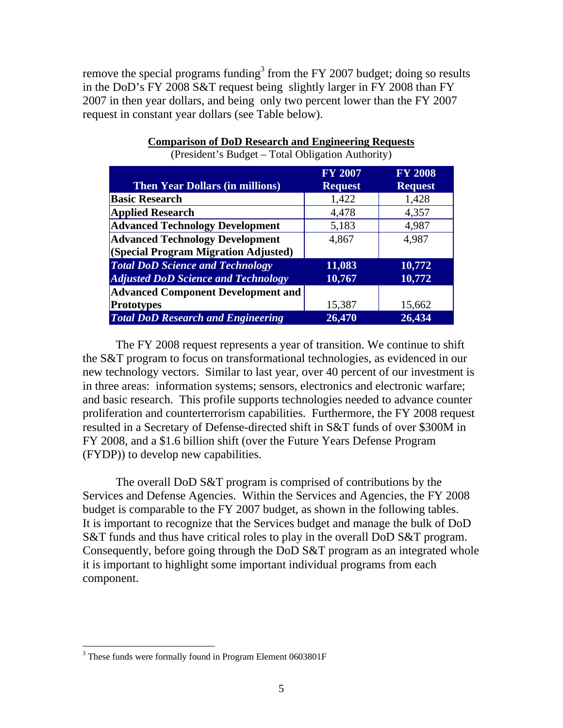remove the special programs funding<sup>[3](#page-4-0)</sup> from the FY 2007 budget; doing so results in the DoD's FY 2008 S&T request being slightly larger in FY 2008 than FY 2007 in then year dollars, and being only two percent lower than the FY 2007 request in constant year dollars (see Table below).

|                                            | <b>FY 2007</b> | <b>FY 2008</b> |
|--------------------------------------------|----------------|----------------|
| <b>Then Year Dollars (in millions)</b>     | <b>Request</b> | <b>Request</b> |
| <b>Basic Research</b>                      | 1,422          | 1,428          |
| <b>Applied Research</b>                    | 4,478          | 4,357          |
| <b>Advanced Technology Development</b>     | 5,183          | 4,987          |
| <b>Advanced Technology Development</b>     | 4,867          | 4,987          |
| (Special Program Migration Adjusted)       |                |                |
| <b>Total DoD Science and Technology</b>    | 11,083         | 10,772         |
| <b>Adjusted DoD Science and Technology</b> | 10,767         | 10,772         |
| <b>Advanced Component Development and</b>  |                |                |
| <b>Prototypes</b>                          | 15,387         | 15,662         |
| <b>Total DoD Research and Engineering</b>  | 26,470         | 26,434         |

# **Comparison of DoD Research and Engineering Requests**

(President's Budget – Total Obligation Authority)

The FY 2008 request represents a year of transition. We continue to shift the S&T program to focus on transformational technologies, as evidenced in our new technology vectors. Similar to last year, over 40 percent of our investment is in three areas: information systems; sensors, electronics and electronic warfare; and basic research. This profile supports technologies needed to advance counter proliferation and counterterrorism capabilities. Furthermore, the FY 2008 request resulted in a Secretary of Defense-directed shift in S&T funds of over \$300M in FY 2008, and a \$1.6 billion shift (over the Future Years Defense Program (FYDP)) to develop new capabilities.

The overall DoD S&T program is comprised of contributions by the Services and Defense Agencies. Within the Services and Agencies, the FY 2008 budget is comparable to the FY 2007 budget, as shown in the following tables. It is important to recognize that the Services budget and manage the bulk of DoD S&T funds and thus have critical roles to play in the overall DoD S&T program. Consequently, before going through the DoD S&T program as an integrated whole it is important to highlight some important individual programs from each component.

 $\overline{a}$ 

<span id="page-4-0"></span><sup>&</sup>lt;sup>3</sup> These funds were formally found in Program Element 0603801F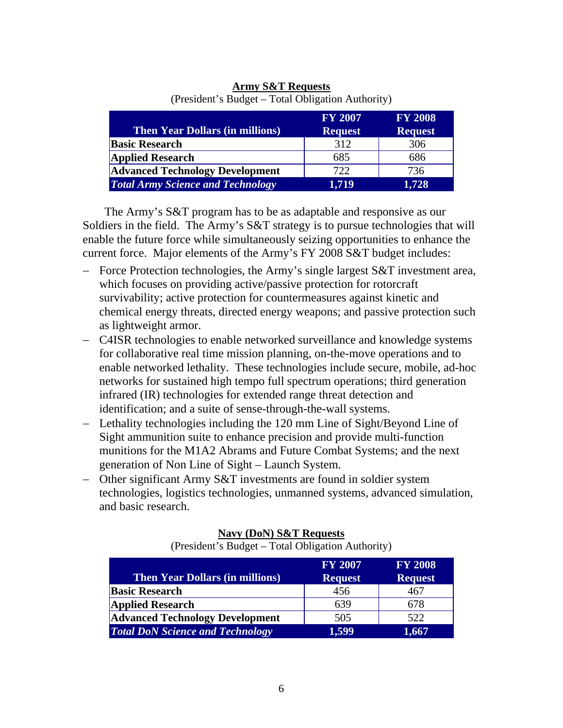| <b>Then Year Dollars (in millions)</b>   | <b>FY 2007</b><br><b>Request</b> | <b>FY 2008</b><br><b>Request</b> |
|------------------------------------------|----------------------------------|----------------------------------|
| <b>Basic Research</b>                    | 312                              | 306                              |
| <b>Applied Research</b>                  | 685                              | 686                              |
| <b>Advanced Technology Development</b>   | 722                              | 736                              |
| <b>Total Army Science and Technology</b> | 1,719                            | 1,728                            |

### **Army S&T Requests** (President's Budget – Total Obligation Authority)

The Army's S&T program has to be as adaptable and responsive as our Soldiers in the field. The Army's S&T strategy is to pursue technologies that will enable the future force while simultaneously seizing opportunities to enhance the current force. Major elements of the Army's FY 2008 S&T budget includes:

- − Force Protection technologies, the Army's single largest S&T investment area, which focuses on providing active/passive protection for rotorcraft survivability; active protection for countermeasures against kinetic and chemical energy threats, directed energy weapons; and passive protection such as lightweight armor.
- − C4ISR technologies to enable networked surveillance and knowledge systems for collaborative real time mission planning, on-the-move operations and to enable networked lethality. These technologies include secure, mobile, ad-hoc networks for sustained high tempo full spectrum operations; third generation infrared (IR) technologies for extended range threat detection and identification; and a suite of sense-through-the-wall systems.
- − Lethality technologies including the 120 mm Line of Sight/Beyond Line of Sight ammunition suite to enhance precision and provide multi-function munitions for the M1A2 Abrams and Future Combat Systems; and the next generation of Non Line of Sight – Launch System.
- − Other significant Army S&T investments are found in soldier system technologies, logistics technologies, unmanned systems, advanced simulation, and basic research.

| <b>Then Year Dollars (in millions)</b>  | <b>FY 2007</b><br><b>Request</b> | <b>FY 2008</b><br><b>Request</b> |
|-----------------------------------------|----------------------------------|----------------------------------|
| <b>Basic Research</b>                   | 456                              | 467                              |
| <b>Applied Research</b>                 | 639                              | 678                              |
| <b>Advanced Technology Development</b>  | 505                              | 522                              |
| <b>Total DoN Science and Technology</b> | 1,599                            | 1,667                            |

# **Navy (DoN) S&T Requests**

(President's Budget – Total Obligation Authority)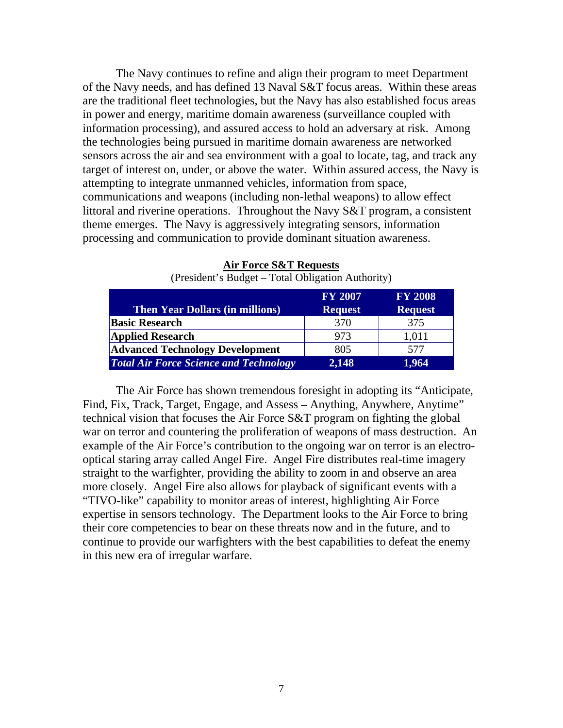The Navy continues to refine and align their program to meet Department of the Navy needs, and has defined 13 Naval S&T focus areas. Within these areas are the traditional fleet technologies, but the Navy has also established focus areas in power and energy, maritime domain awareness (surveillance coupled with information processing), and assured access to hold an adversary at risk. Among the technologies being pursued in maritime domain awareness are networked sensors across the air and sea environment with a goal to locate, tag, and track any target of interest on, under, or above the water. Within assured access, the Navy is attempting to integrate unmanned vehicles, information from space, communications and weapons (including non-lethal weapons) to allow effect littoral and riverine operations. Throughout the Navy S&T program, a consistent theme emerges. The Navy is aggressively integrating sensors, information processing and communication to provide dominant situation awareness.

|                                               | <b>FY 2007</b> | <b>FY 2008</b> |
|-----------------------------------------------|----------------|----------------|
| <b>Then Year Dollars (in millions)</b>        | <b>Request</b> | <b>Request</b> |
| <b>Basic Research</b>                         | 370            | 375            |
| <b>Applied Research</b>                       | 973            | 1,011          |
| <b>Advanced Technology Development</b>        | 805            | 577            |
| <b>Total Air Force Science and Technology</b> | 2,148          | 1,964          |

**Air Force S&T Requests**

(President's Budget – Total Obligation Authority)

The Air Force has shown tremendous foresight in adopting its "Anticipate, Find, Fix, Track, Target, Engage, and Assess – Anything, Anywhere, Anytime" technical vision that focuses the Air Force S&T program on fighting the global war on terror and countering the proliferation of weapons of mass destruction. An example of the Air Force's contribution to the ongoing war on terror is an electrooptical staring array called Angel Fire. Angel Fire distributes real-time imagery straight to the warfighter, providing the ability to zoom in and observe an area more closely. Angel Fire also allows for playback of significant events with a "TIVO-like" capability to monitor areas of interest, highlighting Air Force expertise in sensors technology. The Department looks to the Air Force to bring their core competencies to bear on these threats now and in the future, and to continue to provide our warfighters with the best capabilities to defeat the enemy in this new era of irregular warfare.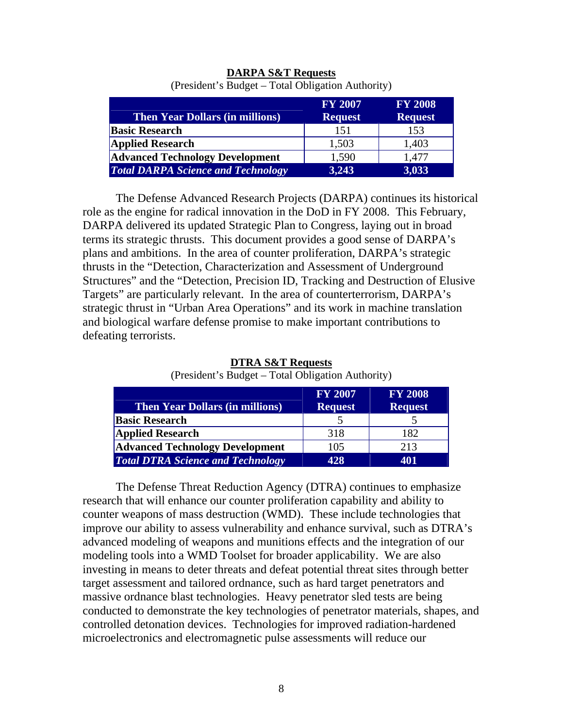|                                           | <b>FY 2007</b> | <b>FY 2008</b> |
|-------------------------------------------|----------------|----------------|
| <b>Then Year Dollars (in millions)</b>    | <b>Request</b> | <b>Request</b> |
| <b>Basic Research</b>                     | 151            | 153            |
| <b>Applied Research</b>                   | 1,503          | 1,403          |
| <b>Advanced Technology Development</b>    | 1,590          | 1,477          |
| <b>Total DARPA Science and Technology</b> | 3,243          | 3,033          |

# **DARPA S&T Requests**

(President's Budget – Total Obligation Authority)

The Defense Advanced Research Projects (DARPA) continues its historical role as the engine for radical innovation in the DoD in FY 2008. This February, DARPA delivered its updated Strategic Plan to Congress, laying out in broad terms its strategic thrusts. This document provides a good sense of DARPA's plans and ambitions. In the area of counter proliferation, DARPA's strategic thrusts in the "Detection, Characterization and Assessment of Underground Structures" and the "Detection, Precision ID, Tracking and Destruction of Elusive Targets" are particularly relevant. In the area of counterterrorism, DARPA's strategic thrust in "Urban Area Operations" and its work in machine translation and biological warfare defense promise to make important contributions to defeating terrorists.

| <b>Then Year Dollars (in millions)</b>   | <b>FY 2007</b><br><b>Request</b> | <b>FY 2008</b><br><b>Request</b> |
|------------------------------------------|----------------------------------|----------------------------------|
| <b>Basic Research</b>                    |                                  |                                  |
| <b>Applied Research</b>                  | 318                              | 182                              |
| <b>Advanced Technology Development</b>   | 105                              | 213                              |
| <b>Total DTRA Science and Technology</b> | 428                              | 401                              |

**DTRA S&T Requests** (President's Budget – Total Obligation Authority)

The Defense Threat Reduction Agency (DTRA) continues to emphasize research that will enhance our counter proliferation capability and ability to counter weapons of mass destruction (WMD). These include technologies that improve our ability to assess vulnerability and enhance survival, such as DTRA's advanced modeling of weapons and munitions effects and the integration of our modeling tools into a WMD Toolset for broader applicability. We are also investing in means to deter threats and defeat potential threat sites through better target assessment and tailored ordnance, such as hard target penetrators and massive ordnance blast technologies. Heavy penetrator sled tests are being conducted to demonstrate the key technologies of penetrator materials, shapes, and controlled detonation devices. Technologies for improved radiation-hardened microelectronics and electromagnetic pulse assessments will reduce our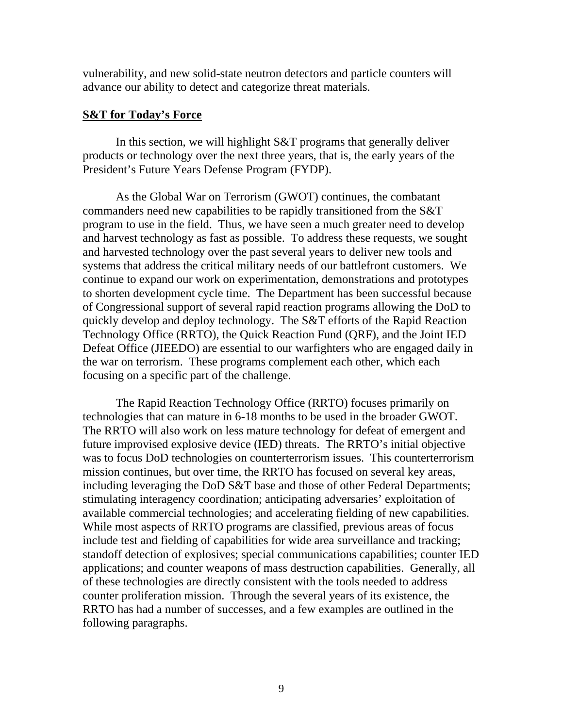vulnerability, and new solid-state neutron detectors and particle counters will advance our ability to detect and categorize threat materials.

### **S&T for Today's Force**

In this section, we will highlight S&T programs that generally deliver products or technology over the next three years, that is, the early years of the President's Future Years Defense Program (FYDP).

As the Global War on Terrorism (GWOT) continues, the combatant commanders need new capabilities to be rapidly transitioned from the S&T program to use in the field. Thus, we have seen a much greater need to develop and harvest technology as fast as possible. To address these requests, we sought and harvested technology over the past several years to deliver new tools and systems that address the critical military needs of our battlefront customers. We continue to expand our work on experimentation, demonstrations and prototypes to shorten development cycle time. The Department has been successful because of Congressional support of several rapid reaction programs allowing the DoD to quickly develop and deploy technology. The S&T efforts of the Rapid Reaction Technology Office (RRTO), the Quick Reaction Fund (QRF), and the Joint IED Defeat Office (JIEEDO) are essential to our warfighters who are engaged daily in the war on terrorism. These programs complement each other, which each focusing on a specific part of the challenge.

The Rapid Reaction Technology Office (RRTO) focuses primarily on technologies that can mature in 6-18 months to be used in the broader GWOT. The RRTO will also work on less mature technology for defeat of emergent and future improvised explosive device (IED) threats. The RRTO's initial objective was to focus DoD technologies on counterterrorism issues. This counterterrorism mission continues, but over time, the RRTO has focused on several key areas, including leveraging the DoD S&T base and those of other Federal Departments; stimulating interagency coordination; anticipating adversaries' exploitation of available commercial technologies; and accelerating fielding of new capabilities. While most aspects of RRTO programs are classified, previous areas of focus include test and fielding of capabilities for wide area surveillance and tracking; standoff detection of explosives; special communications capabilities; counter IED applications; and counter weapons of mass destruction capabilities. Generally, all of these technologies are directly consistent with the tools needed to address counter proliferation mission. Through the several years of its existence, the RRTO has had a number of successes, and a few examples are outlined in the following paragraphs.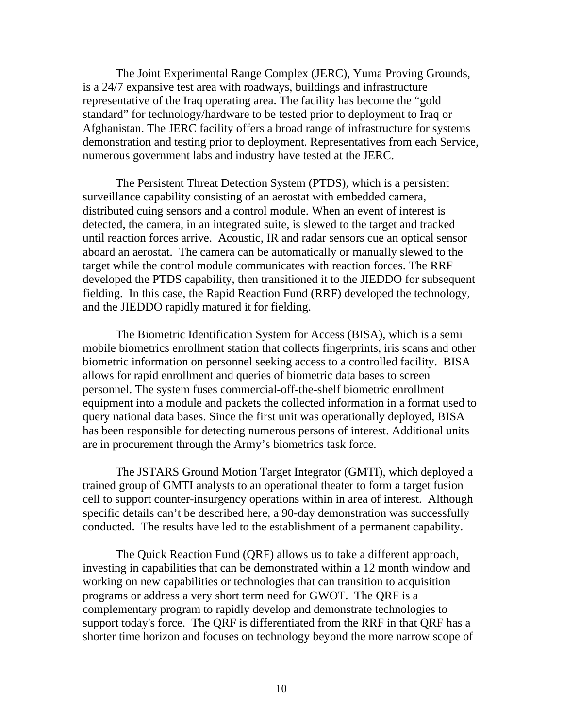The Joint Experimental Range Complex (JERC), Yuma Proving Grounds, is a 24/7 expansive test area with roadways, buildings and infrastructure representative of the Iraq operating area. The facility has become the "gold standard" for technology/hardware to be tested prior to deployment to Iraq or Afghanistan. The JERC facility offers a broad range of infrastructure for systems demonstration and testing prior to deployment. Representatives from each Service, numerous government labs and industry have tested at the JERC.

The Persistent Threat Detection System (PTDS), which is a persistent surveillance capability consisting of an aerostat with embedded camera, distributed cuing sensors and a control module. When an event of interest is detected, the camera, in an integrated suite, is slewed to the target and tracked until reaction forces arrive. Acoustic, IR and radar sensors cue an optical sensor aboard an aerostat. The camera can be automatically or manually slewed to the target while the control module communicates with reaction forces. The RRF developed the PTDS capability, then transitioned it to the JIEDDO for subsequent fielding. In this case, the Rapid Reaction Fund (RRF) developed the technology, and the JIEDDO rapidly matured it for fielding.

The Biometric Identification System for Access (BISA), which is a semi mobile biometrics enrollment station that collects fingerprints, iris scans and other biometric information on personnel seeking access to a controlled facility. BISA allows for rapid enrollment and queries of biometric data bases to screen personnel. The system fuses commercial-off-the-shelf biometric enrollment equipment into a module and packets the collected information in a format used to query national data bases. Since the first unit was operationally deployed, BISA has been responsible for detecting numerous persons of interest. Additional units are in procurement through the Army's biometrics task force.

The JSTARS Ground Motion Target Integrator (GMTI), which deployed a trained group of GMTI analysts to an operational theater to form a target fusion cell to support counter-insurgency operations within in area of interest. Although specific details can't be described here, a 90-day demonstration was successfully conducted. The results have led to the establishment of a permanent capability.

The Quick Reaction Fund (QRF) allows us to take a different approach, investing in capabilities that can be demonstrated within a 12 month window and working on new capabilities or technologies that can transition to acquisition programs or address a very short term need for GWOT.The QRF is a complementary program to rapidly develop and demonstrate technologies to support today's force. The QRF is differentiated from the RRF in that QRF has a shorter time horizon and focuses on technology beyond the more narrow scope of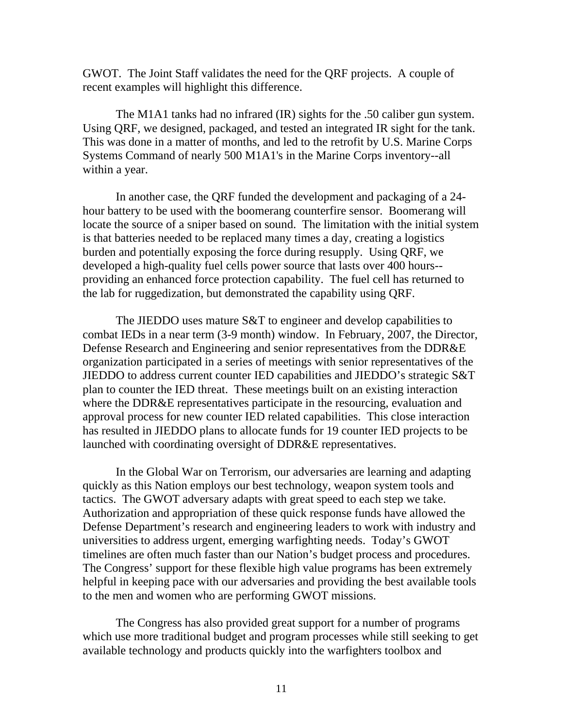GWOT. The Joint Staff validates the need for the QRF projects. A couple of recent examples will highlight this difference.

The M1A1 tanks had no infrared (IR) sights for the .50 caliber gun system. Using QRF, we designed, packaged, and tested an integrated IR sight for the tank. This was done in a matter of months, and led to the retrofit by U.S. Marine Corps Systems Command of nearly 500 M1A1's in the Marine Corps inventory--all within a year.

In another case, the QRF funded the development and packaging of a 24 hour battery to be used with the boomerang counterfire sensor. Boomerang will locate the source of a sniper based on sound. The limitation with the initial system is that batteries needed to be replaced many times a day, creating a logistics burden and potentially exposing the force during resupply. Using QRF, we developed a high-quality fuel cells power source that lasts over 400 hours- providing an enhanced force protection capability. The fuel cell has returned to the lab for ruggedization, but demonstrated the capability using QRF.

The JIEDDO uses mature S&T to engineer and develop capabilities to combat IEDs in a near term (3-9 month) window. In February, 2007, the Director, Defense Research and Engineering and senior representatives from the DDR&E organization participated in a series of meetings with senior representatives of the JIEDDO to address current counter IED capabilities and JIEDDO's strategic S&T plan to counter the IED threat. These meetings built on an existing interaction where the DDR&E representatives participate in the resourcing, evaluation and approval process for new counter IED related capabilities. This close interaction has resulted in JIEDDO plans to allocate funds for 19 counter IED projects to be launched with coordinating oversight of DDR&E representatives.

In the Global War on Terrorism, our adversaries are learning and adapting quickly as this Nation employs our best technology, weapon system tools and tactics. The GWOT adversary adapts with great speed to each step we take. Authorization and appropriation of these quick response funds have allowed the Defense Department's research and engineering leaders to work with industry and universities to address urgent, emerging warfighting needs. Today's GWOT timelines are often much faster than our Nation's budget process and procedures. The Congress' support for these flexible high value programs has been extremely helpful in keeping pace with our adversaries and providing the best available tools to the men and women who are performing GWOT missions.

The Congress has also provided great support for a number of programs which use more traditional budget and program processes while still seeking to get available technology and products quickly into the warfighters toolbox and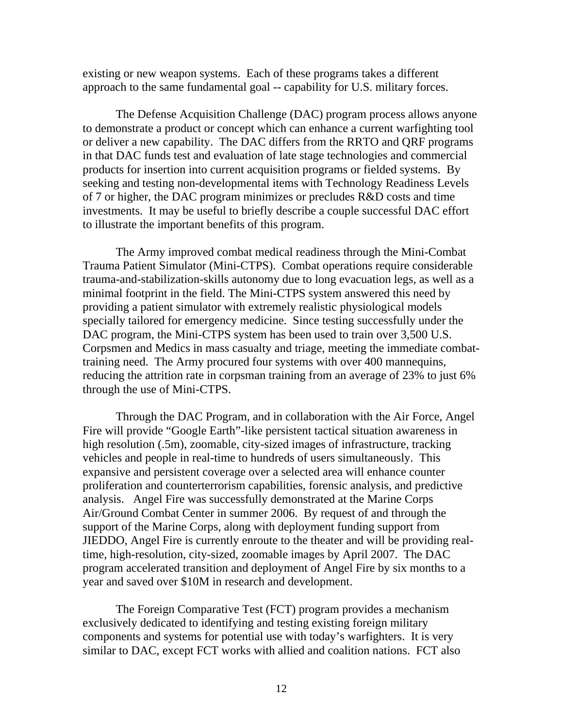existing or new weapon systems. Each of these programs takes a different approach to the same fundamental goal -- capability for U.S. military forces.

The Defense Acquisition Challenge (DAC) program process allows anyone to demonstrate a product or concept which can enhance a current warfighting tool or deliver a new capability. The DAC differs from the RRTO and QRF programs in that DAC funds test and evaluation of late stage technologies and commercial products for insertion into current acquisition programs or fielded systems. By seeking and testing non-developmental items with Technology Readiness Levels of 7 or higher, the DAC program minimizes or precludes R&D costs and time investments. It may be useful to briefly describe a couple successful DAC effort to illustrate the important benefits of this program.

The Army improved combat medical readiness through the Mini-Combat Trauma Patient Simulator (Mini-CTPS). Combat operations require considerable trauma-and-stabilization-skills autonomy due to long evacuation legs, as well as a minimal footprint in the field. The Mini-CTPS system answered this need by providing a patient simulator with extremely realistic physiological models specially tailored for emergency medicine. Since testing successfully under the DAC program, the Mini-CTPS system has been used to train over 3,500 U.S. Corpsmen and Medics in mass casualty and triage, meeting the immediate combattraining need. The Army procured four systems with over 400 mannequins, reducing the attrition rate in corpsman training from an average of 23% to just 6% through the use of Mini-CTPS.

Through the DAC Program, and in collaboration with the Air Force, Angel Fire will provide "Google Earth"-like persistent tactical situation awareness in high resolution (.5m), zoomable, city-sized images of infrastructure, tracking vehicles and people in real-time to hundreds of users simultaneously. This expansive and persistent coverage over a selected area will enhance counter proliferation and counterterrorism capabilities, forensic analysis, and predictive analysis. Angel Fire was successfully demonstrated at the Marine Corps Air/Ground Combat Center in summer 2006. By request of and through the support of the Marine Corps, along with deployment funding support from JIEDDO, Angel Fire is currently enroute to the theater and will be providing realtime, high-resolution, city-sized, zoomable images by April 2007. The DAC program accelerated transition and deployment of Angel Fire by six months to a year and saved over \$10M in research and development.

The Foreign Comparative Test (FCT) program provides a mechanism exclusively dedicated to identifying and testing existing foreign military components and systems for potential use with today's warfighters. It is very similar to DAC, except FCT works with allied and coalition nations. FCT also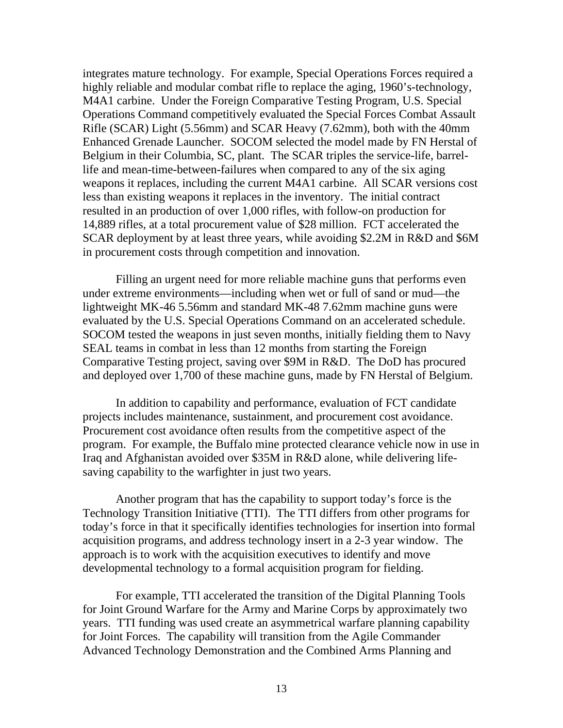integrates mature technology. For example, Special Operations Forces required a highly reliable and modular combat rifle to replace the aging, 1960's-technology, M4A1 carbine. Under the Foreign Comparative Testing Program, U.S. Special Operations Command competitively evaluated the Special Forces Combat Assault Rifle (SCAR) Light (5.56mm) and SCAR Heavy (7.62mm), both with the 40mm Enhanced Grenade Launcher. SOCOM selected the model made by FN Herstal of Belgium in their Columbia, SC, plant. The SCAR triples the service-life, barrellife and mean-time-between-failures when compared to any of the six aging weapons it replaces, including the current M4A1 carbine. All SCAR versions cost less than existing weapons it replaces in the inventory. The initial contract resulted in an production of over 1,000 rifles, with follow-on production for 14,889 rifles, at a total procurement value of \$28 million. FCT accelerated the SCAR deployment by at least three years, while avoiding \$2.2M in R&D and \$6M in procurement costs through competition and innovation.

Filling an urgent need for more reliable machine guns that performs even under extreme environments—including when wet or full of sand or mud—the lightweight MK-46 5.56mm and standard MK-48 7.62mm machine guns were evaluated by the U.S. Special Operations Command on an accelerated schedule. SOCOM tested the weapons in just seven months, initially fielding them to Navy SEAL teams in combat in less than 12 months from starting the Foreign Comparative Testing project, saving over \$9M in R&D. The DoD has procured and deployed over 1,700 of these machine guns, made by FN Herstal of Belgium.

In addition to capability and performance, evaluation of FCT candidate projects includes maintenance, sustainment, and procurement cost avoidance. Procurement cost avoidance often results from the competitive aspect of the program. For example, the Buffalo mine protected clearance vehicle now in use in Iraq and Afghanistan avoided over \$35M in R&D alone, while delivering lifesaving capability to the warfighter in just two years.

Another program that has the capability to support today's force is the Technology Transition Initiative (TTI). The TTI differs from other programs for today's force in that it specifically identifies technologies for insertion into formal acquisition programs, and address technology insert in a 2-3 year window. The approach is to work with the acquisition executives to identify and move developmental technology to a formal acquisition program for fielding.

For example, TTI accelerated the transition of the Digital Planning Tools for Joint Ground Warfare for the Army and Marine Corps by approximately two years. TTI funding was used create an asymmetrical warfare planning capability for Joint Forces. The capability will transition from the Agile Commander Advanced Technology Demonstration and the Combined Arms Planning and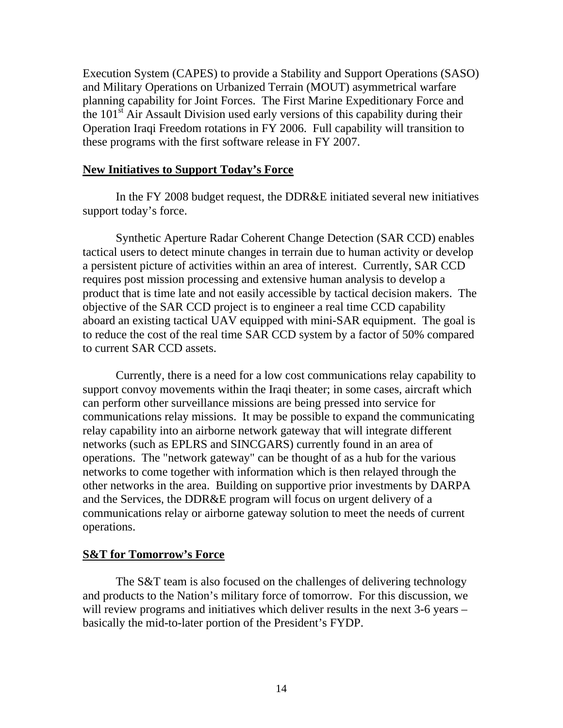Execution System (CAPES) to provide a Stability and Support Operations (SASO) and Military Operations on Urbanized Terrain (MOUT) asymmetrical warfare planning capability for Joint Forces. The First Marine Expeditionary Force and the  $101<sup>st</sup>$  Air Assault Division used early versions of this capability during their Operation Iraqi Freedom rotations in FY 2006. Full capability will transition to these programs with the first software release in FY 2007.

### **New Initiatives to Support Today's Force**

In the FY 2008 budget request, the DDR&E initiated several new initiatives support today's force.

Synthetic Aperture Radar Coherent Change Detection (SAR CCD) enables tactical users to detect minute changes in terrain due to human activity or develop a persistent picture of activities within an area of interest. Currently, SAR CCD requires post mission processing and extensive human analysis to develop a product that is time late and not easily accessible by tactical decision makers. The objective of the SAR CCD project is to engineer a real time CCD capability aboard an existing tactical UAV equipped with mini-SAR equipment. The goal is to reduce the cost of the real time SAR CCD system by a factor of 50% compared to current SAR CCD assets.

Currently, there is a need for a low cost communications relay capability to support convoy movements within the Iraqi theater; in some cases, aircraft which can perform other surveillance missions are being pressed into service for communications relay missions. It may be possible to expand the communicating relay capability into an airborne network gateway that will integrate different networks (such as EPLRS and SINCGARS) currently found in an area of operations. The "network gateway" can be thought of as a hub for the various networks to come together with information which is then relayed through the other networks in the area. Building on supportive prior investments by DARPA and the Services, the DDR&E program will focus on urgent delivery of a communications relay or airborne gateway solution to meet the needs of current operations.

### **S&T for Tomorrow's Force**

The S&T team is also focused on the challenges of delivering technology and products to the Nation's military force of tomorrow. For this discussion, we will review programs and initiatives which deliver results in the next 3-6 years – basically the mid-to-later portion of the President's FYDP.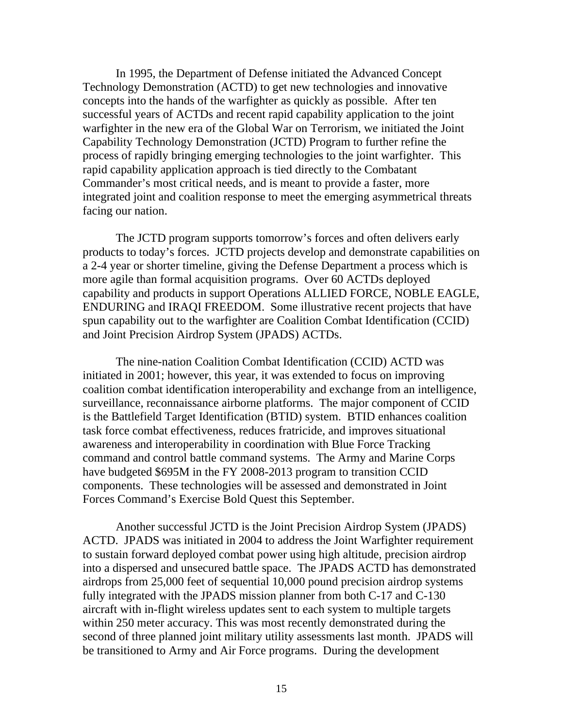In 1995, the Department of Defense initiated the Advanced Concept Technology Demonstration (ACTD) to get new technologies and innovative concepts into the hands of the warfighter as quickly as possible. After ten successful years of ACTDs and recent rapid capability application to the joint warfighter in the new era of the Global War on Terrorism, we initiated the Joint Capability Technology Demonstration (JCTD) Program to further refine the process of rapidly bringing emerging technologies to the joint warfighter. This rapid capability application approach is tied directly to the Combatant Commander's most critical needs, and is meant to provide a faster, more integrated joint and coalition response to meet the emerging asymmetrical threats facing our nation.

The JCTD program supports tomorrow's forces and often delivers early products to today's forces. JCTD projects develop and demonstrate capabilities on a 2-4 year or shorter timeline, giving the Defense Department a process which is more agile than formal acquisition programs. Over 60 ACTDs deployed capability and products in support Operations ALLIED FORCE, NOBLE EAGLE, ENDURING and IRAQI FREEDOM. Some illustrative recent projects that have spun capability out to the warfighter are Coalition Combat Identification (CCID) and Joint Precision Airdrop System (JPADS) ACTDs.

The nine-nation Coalition Combat Identification (CCID) ACTD was initiated in 2001; however, this year, it was extended to focus on improving coalition combat identification interoperability and exchange from an intelligence, surveillance, reconnaissance airborne platforms. The major component of CCID is the Battlefield Target Identification (BTID) system. BTID enhances coalition task force combat effectiveness, reduces fratricide, and improves situational awareness and interoperability in coordination with Blue Force Tracking command and control battle command systems. The Army and Marine Corps have budgeted \$695M in the FY 2008-2013 program to transition CCID components. These technologies will be assessed and demonstrated in Joint Forces Command's Exercise Bold Quest this September.

Another successful JCTD is the Joint Precision Airdrop System (JPADS) ACTD. JPADS was initiated in 2004 to address the Joint Warfighter requirement to sustain forward deployed combat power using high altitude, precision airdrop into a dispersed and unsecured battle space. The JPADS ACTD has demonstrated airdrops from 25,000 feet of sequential 10,000 pound precision airdrop systems fully integrated with the JPADS mission planner from both C-17 and C-130 aircraft with in-flight wireless updates sent to each system to multiple targets within 250 meter accuracy. This was most recently demonstrated during the second of three planned joint military utility assessments last month. JPADS will be transitioned to Army and Air Force programs. During the development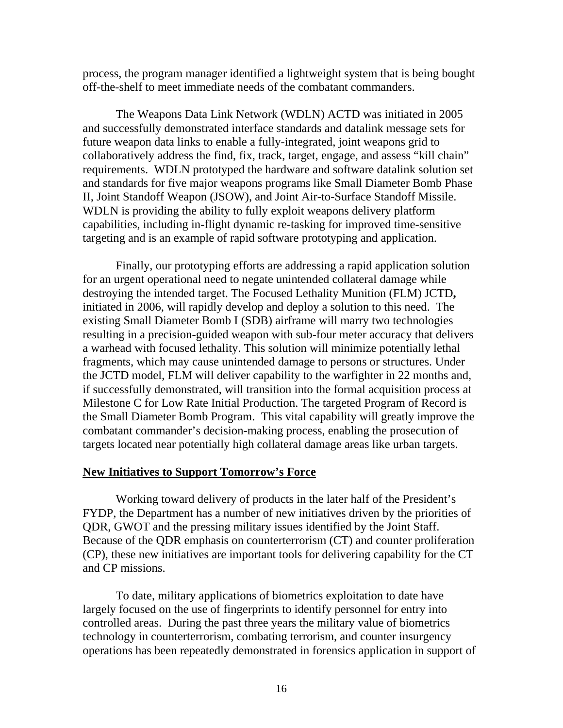process, the program manager identified a lightweight system that is being bought off-the-shelf to meet immediate needs of the combatant commanders.

The Weapons Data Link Network (WDLN) ACTD was initiated in 2005 and successfully demonstrated interface standards and datalink message sets for future weapon data links to enable a fully-integrated, joint weapons grid to collaboratively address the find, fix, track, target, engage, and assess "kill chain" requirements. WDLN prototyped the hardware and software datalink solution set and standards for five major weapons programs like Small Diameter Bomb Phase II, Joint Standoff Weapon (JSOW), and Joint Air-to-Surface Standoff Missile. WDLN is providing the ability to fully exploit weapons delivery platform capabilities, including in-flight dynamic re-tasking for improved time-sensitive targeting and is an example of rapid software prototyping and application.

Finally, our prototyping efforts are addressing a rapid application solution for an urgent operational need to negate unintended collateral damage while destroying the intended target. The Focused Lethality Munition (FLM) JCTD**,**  initiated in 2006, will rapidly develop and deploy a solution to this need. The existing Small Diameter Bomb I (SDB) airframe will marry two technologies resulting in a precision-guided weapon with sub-four meter accuracy that delivers a warhead with focused lethality. This solution will minimize potentially lethal fragments, which may cause unintended damage to persons or structures. Under the JCTD model, FLM will deliver capability to the warfighter in 22 months and, if successfully demonstrated, will transition into the formal acquisition process at Milestone C for Low Rate Initial Production. The targeted Program of Record is the Small Diameter Bomb Program. This vital capability will greatly improve the combatant commander's decision-making process, enabling the prosecution of targets located near potentially high collateral damage areas like urban targets.

### **New Initiatives to Support Tomorrow's Force**

Working toward delivery of products in the later half of the President's FYDP, the Department has a number of new initiatives driven by the priorities of QDR, GWOT and the pressing military issues identified by the Joint Staff. Because of the QDR emphasis on counterterrorism (CT) and counter proliferation (CP), these new initiatives are important tools for delivering capability for the CT and CP missions.

To date, military applications of biometrics exploitation to date have largely focused on the use of fingerprints to identify personnel for entry into controlled areas. During the past three years the military value of biometrics technology in counterterrorism, combating terrorism, and counter insurgency operations has been repeatedly demonstrated in forensics application in support of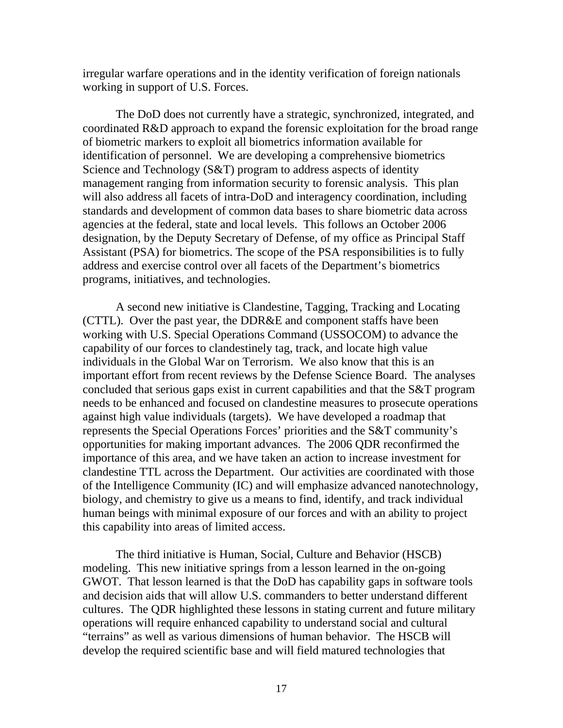irregular warfare operations and in the identity verification of foreign nationals working in support of U.S. Forces.

The DoD does not currently have a strategic, synchronized, integrated, and coordinated R&D approach to expand the forensic exploitation for the broad range of biometric markers to exploit all biometrics information available for identification of personnel. We are developing a comprehensive biometrics Science and Technology (S&T) program to address aspects of identity management ranging from information security to forensic analysis. This plan will also address all facets of intra-DoD and interagency coordination, including standards and development of common data bases to share biometric data across agencies at the federal, state and local levels. This follows an October 2006 designation, by the Deputy Secretary of Defense, of my office as Principal Staff Assistant (PSA) for biometrics. The scope of the PSA responsibilities is to fully address and exercise control over all facets of the Department's biometrics programs, initiatives, and technologies.

A second new initiative is Clandestine, Tagging, Tracking and Locating (CTTL). Over the past year, the DDR&E and component staffs have been working with U.S. Special Operations Command (USSOCOM) to advance the capability of our forces to clandestinely tag, track, and locate high value individuals in the Global War on Terrorism. We also know that this is an important effort from recent reviews by the Defense Science Board. The analyses concluded that serious gaps exist in current capabilities and that the S&T program needs to be enhanced and focused on clandestine measures to prosecute operations against high value individuals (targets). We have developed a roadmap that represents the Special Operations Forces' priorities and the S&T community's opportunities for making important advances. The 2006 QDR reconfirmed the importance of this area, and we have taken an action to increase investment for clandestine TTL across the Department. Our activities are coordinated with those of the Intelligence Community (IC) and will emphasize advanced nanotechnology, biology, and chemistry to give us a means to find, identify, and track individual human beings with minimal exposure of our forces and with an ability to project this capability into areas of limited access.

The third initiative is Human, Social, Culture and Behavior (HSCB) modeling. This new initiative springs from a lesson learned in the on-going GWOT. That lesson learned is that the DoD has capability gaps in software tools and decision aids that will allow U.S. commanders to better understand different cultures. The QDR highlighted these lessons in stating current and future military operations will require enhanced capability to understand social and cultural "terrains" as well as various dimensions of human behavior. The HSCB will develop the required scientific base and will field matured technologies that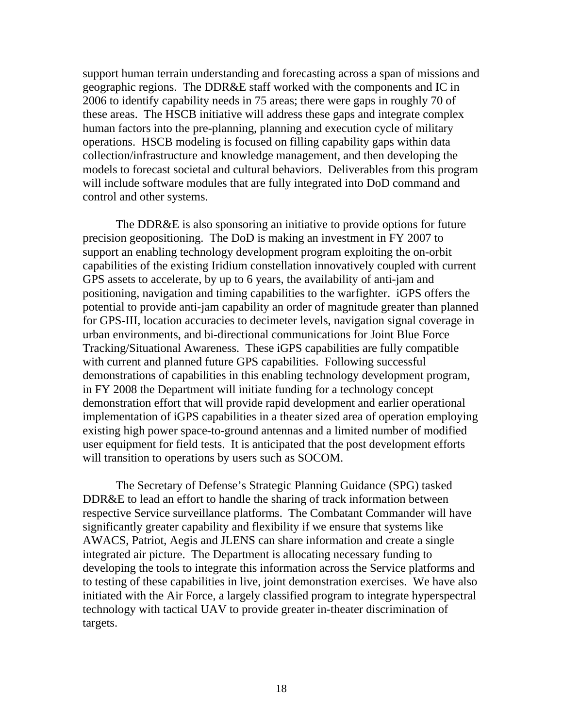support human terrain understanding and forecasting across a span of missions and geographic regions. The DDR&E staff worked with the components and IC in 2006 to identify capability needs in 75 areas; there were gaps in roughly 70 of these areas. The HSCB initiative will address these gaps and integrate complex human factors into the pre-planning, planning and execution cycle of military operations. HSCB modeling is focused on filling capability gaps within data collection/infrastructure and knowledge management, and then developing the models to forecast societal and cultural behaviors. Deliverables from this program will include software modules that are fully integrated into DoD command and control and other systems.

The DDR&E is also sponsoring an initiative to provide options for future precision geopositioning. The DoD is making an investment in FY 2007 to support an enabling technology development program exploiting the on-orbit capabilities of the existing Iridium constellation innovatively coupled with current GPS assets to accelerate, by up to 6 years, the availability of anti-jam and positioning, navigation and timing capabilities to the warfighter. iGPS offers the potential to provide anti-jam capability an order of magnitude greater than planned for GPS-III, location accuracies to decimeter levels, navigation signal coverage in urban environments, and bi-directional communications for Joint Blue Force Tracking/Situational Awareness. These iGPS capabilities are fully compatible with current and planned future GPS capabilities. Following successful demonstrations of capabilities in this enabling technology development program, in FY 2008 the Department will initiate funding for a technology concept demonstration effort that will provide rapid development and earlier operational implementation of iGPS capabilities in a theater sized area of operation employing existing high power space-to-ground antennas and a limited number of modified user equipment for field tests. It is anticipated that the post development efforts will transition to operations by users such as SOCOM.

The Secretary of Defense's Strategic Planning Guidance (SPG) tasked DDR&E to lead an effort to handle the sharing of track information between respective Service surveillance platforms. The Combatant Commander will have significantly greater capability and flexibility if we ensure that systems like AWACS, Patriot, Aegis and JLENS can share information and create a single integrated air picture. The Department is allocating necessary funding to developing the tools to integrate this information across the Service platforms and to testing of these capabilities in live, joint demonstration exercises. We have also initiated with the Air Force, a largely classified program to integrate hyperspectral technology with tactical UAV to provide greater in-theater discrimination of targets.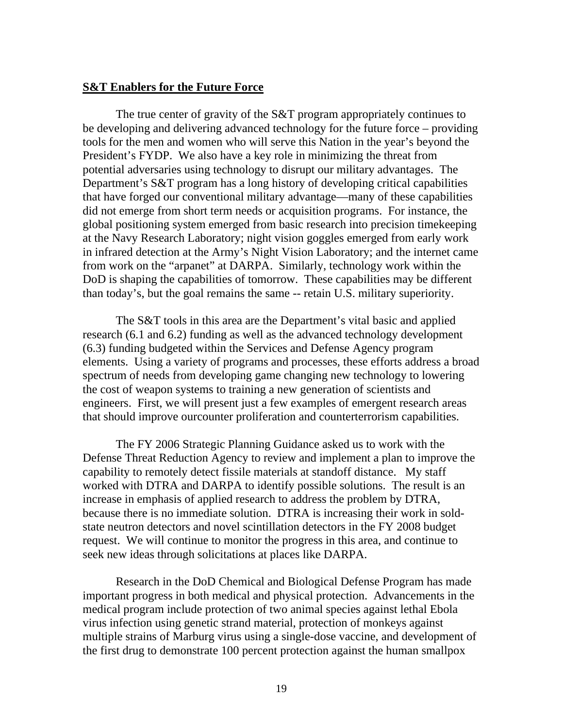### **S&T Enablers for the Future Force**

The true center of gravity of the S&T program appropriately continues to be developing and delivering advanced technology for the future force – providing tools for the men and women who will serve this Nation in the year's beyond the President's FYDP. We also have a key role in minimizing the threat from potential adversaries using technology to disrupt our military advantages. The Department's S&T program has a long history of developing critical capabilities that have forged our conventional military advantage—many of these capabilities did not emerge from short term needs or acquisition programs. For instance, the global positioning system emerged from basic research into precision timekeeping at the Navy Research Laboratory; night vision goggles emerged from early work in infrared detection at the Army's Night Vision Laboratory; and the internet came from work on the "arpanet" at DARPA. Similarly, technology work within the DoD is shaping the capabilities of tomorrow. These capabilities may be different than today's, but the goal remains the same -- retain U.S. military superiority.

The S&T tools in this area are the Department's vital basic and applied research (6.1 and 6.2) funding as well as the advanced technology development (6.3) funding budgeted within the Services and Defense Agency program elements. Using a variety of programs and processes, these efforts address a broad spectrum of needs from developing game changing new technology to lowering the cost of weapon systems to training a new generation of scientists and engineers. First, we will present just a few examples of emergent research areas that should improve ourcounter proliferation and counterterrorism capabilities.

The FY 2006 Strategic Planning Guidance asked us to work with the Defense Threat Reduction Agency to review and implement a plan to improve the capability to remotely detect fissile materials at standoff distance. My staff worked with DTRA and DARPA to identify possible solutions. The result is an increase in emphasis of applied research to address the problem by DTRA, because there is no immediate solution. DTRA is increasing their work in soldstate neutron detectors and novel scintillation detectors in the FY 2008 budget request. We will continue to monitor the progress in this area, and continue to seek new ideas through solicitations at places like DARPA.

Research in the DoD Chemical and Biological Defense Program has made important progress in both medical and physical protection. Advancements in the medical program include protection of two animal species against lethal Ebola virus infection using genetic strand material, protection of monkeys against multiple strains of Marburg virus using a single-dose vaccine, and development of the first drug to demonstrate 100 percent protection against the human smallpox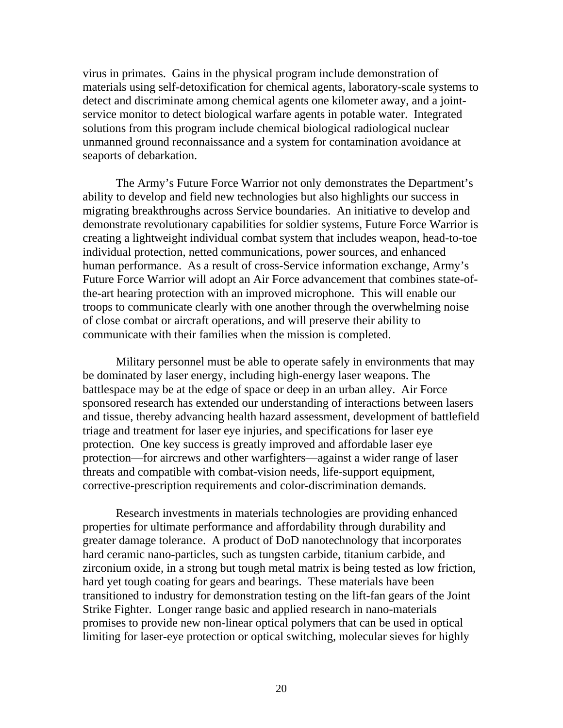virus in primates. Gains in the physical program include demonstration of materials using self-detoxification for chemical agents, laboratory-scale systems to detect and discriminate among chemical agents one kilometer away, and a jointservice monitor to detect biological warfare agents in potable water. Integrated solutions from this program include chemical biological radiological nuclear unmanned ground reconnaissance and a system for contamination avoidance at seaports of debarkation.

The Army's Future Force Warrior not only demonstrates the Department's ability to develop and field new technologies but also highlights our success in migrating breakthroughs across Service boundaries. An initiative to develop and demonstrate revolutionary capabilities for soldier systems, Future Force Warrior is creating a lightweight individual combat system that includes weapon, head-to-toe individual protection, netted communications, power sources, and enhanced human performance. As a result of cross-Service information exchange, Army's Future Force Warrior will adopt an Air Force advancement that combines state-ofthe-art hearing protection with an improved microphone. This will enable our troops to communicate clearly with one another through the overwhelming noise of close combat or aircraft operations, and will preserve their ability to communicate with their families when the mission is completed.

Military personnel must be able to operate safely in environments that may be dominated by laser energy, including high-energy laser weapons. The battlespace may be at the edge of space or deep in an urban alley. Air Force sponsored research has extended our understanding of interactions between lasers and tissue, thereby advancing health hazard assessment, development of battlefield triage and treatment for laser eye injuries, and specifications for laser eye protection. One key success is greatly improved and affordable laser eye protection—for aircrews and other warfighters—against a wider range of laser threats and compatible with combat-vision needs, life-support equipment, corrective-prescription requirements and color-discrimination demands.

Research investments in materials technologies are providing enhanced properties for ultimate performance and affordability through durability and greater damage tolerance. A product of DoD nanotechnology that incorporates hard ceramic nano-particles, such as tungsten carbide, titanium carbide, and zirconium oxide, in a strong but tough metal matrix is being tested as low friction, hard yet tough coating for gears and bearings. These materials have been transitioned to industry for demonstration testing on the lift-fan gears of the Joint Strike Fighter. Longer range basic and applied research in nano-materials promises to provide new non-linear optical polymers that can be used in optical limiting for laser-eye protection or optical switching, molecular sieves for highly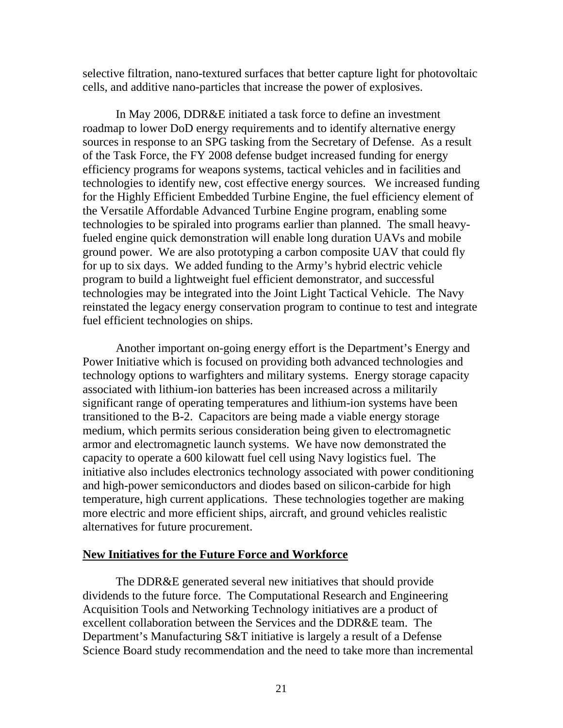selective filtration, nano-textured surfaces that better capture light for photovoltaic cells, and additive nano-particles that increase the power of explosives.

In May 2006, DDR&E initiated a task force to define an investment roadmap to lower DoD energy requirements and to identify alternative energy sources in response to an SPG tasking from the Secretary of Defense. As a result of the Task Force, the FY 2008 defense budget increased funding for energy efficiency programs for weapons systems, tactical vehicles and in facilities and technologies to identify new, cost effective energy sources. We increased funding for the Highly Efficient Embedded Turbine Engine, the fuel efficiency element of the Versatile Affordable Advanced Turbine Engine program, enabling some technologies to be spiraled into programs earlier than planned. The small heavyfueled engine quick demonstration will enable long duration UAVs and mobile ground power. We are also prototyping a carbon composite UAV that could fly for up to six days. We added funding to the Army's hybrid electric vehicle program to build a lightweight fuel efficient demonstrator, and successful technologies may be integrated into the Joint Light Tactical Vehicle. The Navy reinstated the legacy energy conservation program to continue to test and integrate fuel efficient technologies on ships.

Another important on-going energy effort is the Department's Energy and Power Initiative which is focused on providing both advanced technologies and technology options to warfighters and military systems. Energy storage capacity associated with lithium-ion batteries has been increased across a militarily significant range of operating temperatures and lithium-ion systems have been transitioned to the B-2. Capacitors are being made a viable energy storage medium, which permits serious consideration being given to electromagnetic armor and electromagnetic launch systems. We have now demonstrated the capacity to operate a 600 kilowatt fuel cell using Navy logistics fuel. The initiative also includes electronics technology associated with power conditioning and high-power semiconductors and diodes based on silicon-carbide for high temperature, high current applications. These technologies together are making more electric and more efficient ships, aircraft, and ground vehicles realistic alternatives for future procurement.

### **New Initiatives for the Future Force and Workforce**

The DDR&E generated several new initiatives that should provide dividends to the future force. The Computational Research and Engineering Acquisition Tools and Networking Technology initiatives are a product of excellent collaboration between the Services and the DDR&E team. The Department's Manufacturing S&T initiative is largely a result of a Defense Science Board study recommendation and the need to take more than incremental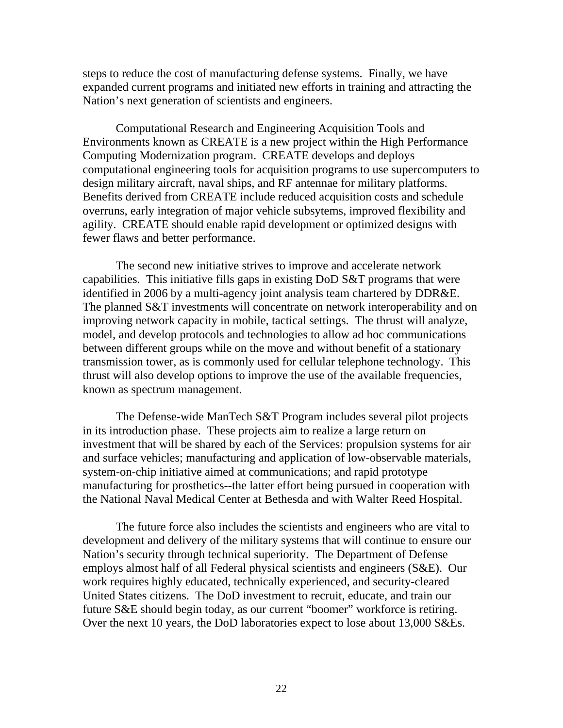steps to reduce the cost of manufacturing defense systems. Finally, we have expanded current programs and initiated new efforts in training and attracting the Nation's next generation of scientists and engineers.

Computational Research and Engineering Acquisition Tools and Environments known as CREATE is a new project within the High Performance Computing Modernization program. CREATE develops and deploys computational engineering tools for acquisition programs to use supercomputers to design military aircraft, naval ships, and RF antennae for military platforms. Benefits derived from CREATE include reduced acquisition costs and schedule overruns, early integration of major vehicle subsytems, improved flexibility and agility. CREATE should enable rapid development or optimized designs with fewer flaws and better performance.

The second new initiative strives to improve and accelerate network capabilities. This initiative fills gaps in existing DoD S&T programs that were identified in 2006 by a multi-agency joint analysis team chartered by DDR&E. The planned S&T investments will concentrate on network interoperability and on improving network capacity in mobile, tactical settings. The thrust will analyze, model, and develop protocols and technologies to allow ad hoc communications between different groups while on the move and without benefit of a stationary transmission tower, as is commonly used for cellular telephone technology. This thrust will also develop options to improve the use of the available frequencies, known as spectrum management.

The Defense-wide ManTech S&T Program includes several pilot projects in its introduction phase. These projects aim to realize a large return on investment that will be shared by each of the Services: propulsion systems for air and surface vehicles; manufacturing and application of low-observable materials, system-on-chip initiative aimed at communications; and rapid prototype manufacturing for prosthetics--the latter effort being pursued in cooperation with the National Naval Medical Center at Bethesda and with Walter Reed Hospital.

The future force also includes the scientists and engineers who are vital to development and delivery of the military systems that will continue to ensure our Nation's security through technical superiority. The Department of Defense employs almost half of all Federal physical scientists and engineers (S&E). Our work requires highly educated, technically experienced, and security-cleared United States citizens. The DoD investment to recruit, educate, and train our future S&E should begin today, as our current "boomer" workforce is retiring. Over the next 10 years, the DoD laboratories expect to lose about 13,000 S&Es.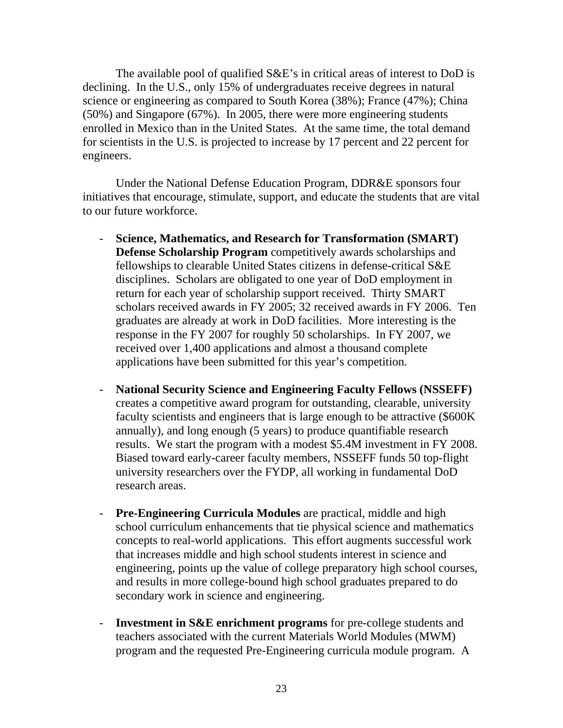The available pool of qualified S&E's in critical areas of interest to DoD is declining. In the U.S., only 15% of undergraduates receive degrees in natural science or engineering as compared to South Korea (38%); France (47%); China (50%) and Singapore (67%). In 2005, there were more engineering students enrolled in Mexico than in the United States. At the same time, the total demand for scientists in the U.S. is projected to increase by 17 percent and 22 percent for engineers.

Under the National Defense Education Program, DDR&E sponsors four initiatives that encourage, stimulate, support, and educate the students that are vital to our future workforce.

- **Science, Mathematics, and Research for Transformation (SMART) Defense Scholarship Program** competitively awards scholarships and fellowships to clearable United States citizens in defense-critical S&E disciplines. Scholars are obligated to one year of DoD employment in return for each year of scholarship support received. Thirty SMART scholars received awards in FY 2005; 32 received awards in FY 2006. Ten graduates are already at work in DoD facilities. More interesting is the response in the FY 2007 for roughly 50 scholarships. In FY 2007, we received over 1,400 applications and almost a thousand complete applications have been submitted for this year's competition.
- **National Security Science and Engineering Faculty Fellows (NSSEFF)**  creates a competitive award program for outstanding, clearable, university faculty scientists and engineers that is large enough to be attractive (\$600K annually), and long enough (5 years) to produce quantifiable research results. We start the program with a modest \$5.4M investment in FY 2008. Biased toward early-career faculty members, NSSEFF funds 50 top-flight university researchers over the FYDP, all working in fundamental DoD research areas.
- **Pre-Engineering Curricula Modules** are practical, middle and high school curriculum enhancements that tie physical science and mathematics concepts to real-world applications. This effort augments successful work that increases middle and high school students interest in science and engineering, points up the value of college preparatory high school courses, and results in more college-bound high school graduates prepared to do secondary work in science and engineering.
- **Investment in S&E enrichment programs** for pre-college students and teachers associated with the current Materials World Modules (MWM) program and the requested Pre-Engineering curricula module program. A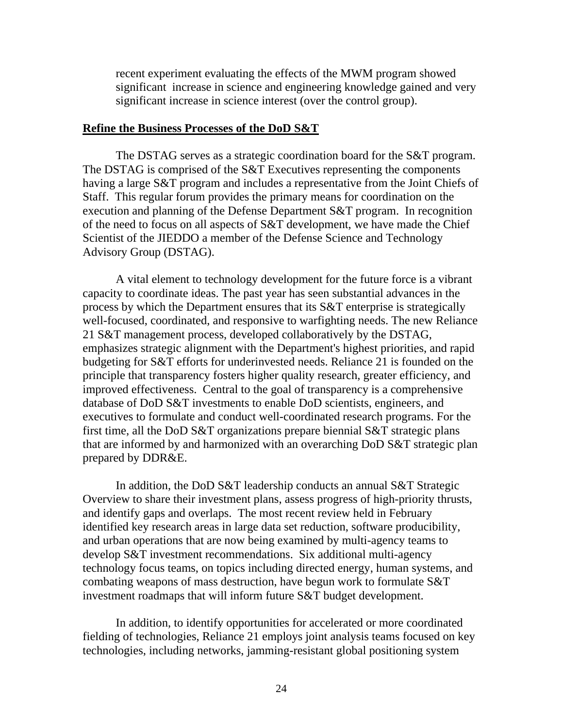recent experiment evaluating the effects of the MWM program showed significant increase in science and engineering knowledge gained and very significant increase in science interest (over the control group).

### **Refine the Business Processes of the DoD S&T**

The DSTAG serves as a strategic coordination board for the S&T program. The DSTAG is comprised of the S&T Executives representing the components having a large S&T program and includes a representative from the Joint Chiefs of Staff. This regular forum provides the primary means for coordination on the execution and planning of the Defense Department S&T program. In recognition of the need to focus on all aspects of S&T development, we have made the Chief Scientist of the JIEDDO a member of the Defense Science and Technology Advisory Group (DSTAG).

A vital element to technology development for the future force is a vibrant capacity to coordinate ideas. The past year has seen substantial advances in the process by which the Department ensures that its S&T enterprise is strategically well-focused, coordinated, and responsive to warfighting needs. The new Reliance 21 S&T management process, developed collaboratively by the DSTAG, emphasizes strategic alignment with the Department's highest priorities, and rapid budgeting for S&T efforts for underinvested needs. Reliance 21 is founded on the principle that transparency fosters higher quality research, greater efficiency, and improved effectiveness. Central to the goal of transparency is a comprehensive database of DoD S&T investments to enable DoD scientists, engineers, and executives to formulate and conduct well-coordinated research programs. For the first time, all the DoD S&T organizations prepare biennial S&T strategic plans that are informed by and harmonized with an overarching DoD S&T strategic plan prepared by DDR&E.

In addition, the DoD S&T leadership conducts an annual S&T Strategic Overview to share their investment plans, assess progress of high-priority thrusts, and identify gaps and overlaps. The most recent review held in February identified key research areas in large data set reduction, software producibility, and urban operations that are now being examined by multi-agency teams to develop S&T investment recommendations. Six additional multi-agency technology focus teams, on topics including directed energy, human systems, and combating weapons of mass destruction, have begun work to formulate S&T investment roadmaps that will inform future S&T budget development.

In addition, to identify opportunities for accelerated or more coordinated fielding of technologies, Reliance 21 employs joint analysis teams focused on key technologies, including networks, jamming-resistant global positioning system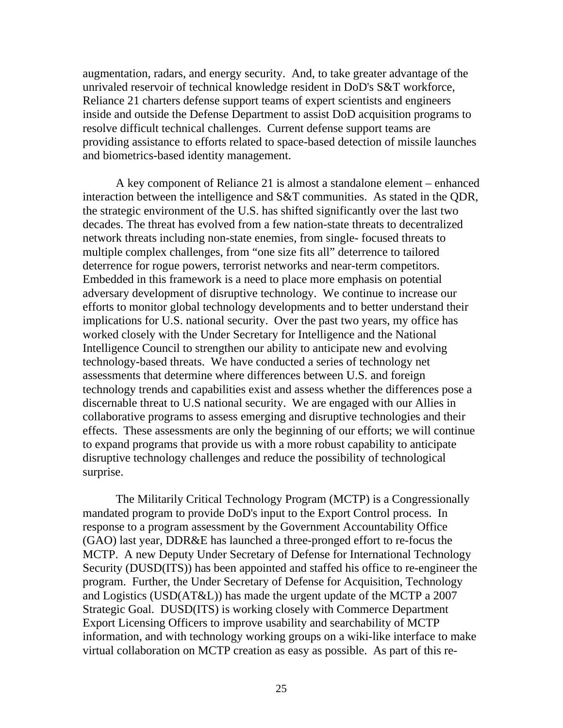augmentation, radars, and energy security. And, to take greater advantage of the unrivaled reservoir of technical knowledge resident in DoD's S&T workforce, Reliance 21 charters defense support teams of expert scientists and engineers inside and outside the Defense Department to assist DoD acquisition programs to resolve difficult technical challenges. Current defense support teams are providing assistance to efforts related to space-based detection of missile launches and biometrics-based identity management.

A key component of Reliance 21 is almost a standalone element – enhanced interaction between the intelligence and S&T communities. As stated in the QDR, the strategic environment of the U.S. has shifted significantly over the last two decades. The threat has evolved from a few nation-state threats to decentralized network threats including non-state enemies, from single- focused threats to multiple complex challenges, from "one size fits all" deterrence to tailored deterrence for rogue powers, terrorist networks and near-term competitors. Embedded in this framework is a need to place more emphasis on potential adversary development of disruptive technology. We continue to increase our efforts to monitor global technology developments and to better understand their implications for U.S. national security. Over the past two years, my office has worked closely with the Under Secretary for Intelligence and the National Intelligence Council to strengthen our ability to anticipate new and evolving technology-based threats. We have conducted a series of technology net assessments that determine where differences between U.S. and foreign technology trends and capabilities exist and assess whether the differences pose a discernable threat to U.S national security. We are engaged with our Allies in collaborative programs to assess emerging and disruptive technologies and their effects. These assessments are only the beginning of our efforts; we will continue to expand programs that provide us with a more robust capability to anticipate disruptive technology challenges and reduce the possibility of technological surprise.

The Militarily Critical Technology Program (MCTP) is a Congressionally mandated program to provide DoD's input to the Export Control process. In response to a program assessment by the Government Accountability Office (GAO) last year, DDR&E has launched a three-pronged effort to re-focus the MCTP. A new Deputy Under Secretary of Defense for International Technology Security (DUSD(ITS)) has been appointed and staffed his office to re-engineer the program. Further, the Under Secretary of Defense for Acquisition, Technology and Logistics (USD(AT&L)) has made the urgent update of the MCTP a 2007 Strategic Goal. DUSD(ITS) is working closely with Commerce Department Export Licensing Officers to improve usability and searchability of MCTP information, and with technology working groups on a wiki-like interface to make virtual collaboration on MCTP creation as easy as possible. As part of this re-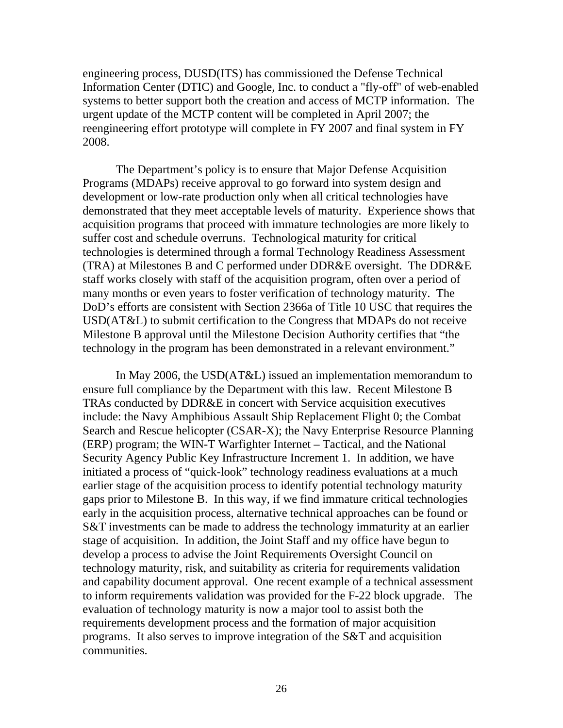engineering process, DUSD(ITS) has commissioned the Defense Technical Information Center (DTIC) and Google, Inc. to conduct a "fly-off" of web-enabled systems to better support both the creation and access of MCTP information. The urgent update of the MCTP content will be completed in April 2007; the reengineering effort prototype will complete in FY 2007 and final system in FY 2008.

The Department's policy is to ensure that Major Defense Acquisition Programs (MDAPs) receive approval to go forward into system design and development or low-rate production only when all critical technologies have demonstrated that they meet acceptable levels of maturity. Experience shows that acquisition programs that proceed with immature technologies are more likely to suffer cost and schedule overruns. Technological maturity for critical technologies is determined through a formal Technology Readiness Assessment (TRA) at Milestones B and C performed under DDR&E oversight. The DDR&E staff works closely with staff of the acquisition program, often over a period of many months or even years to foster verification of technology maturity. The DoD's efforts are consistent with Section 2366a of Title 10 USC that requires the USD(AT&L) to submit certification to the Congress that MDAPs do not receive Milestone B approval until the Milestone Decision Authority certifies that "the technology in the program has been demonstrated in a relevant environment."

In May 2006, the USD(AT&L) issued an implementation memorandum to ensure full compliance by the Department with this law. Recent Milestone B TRAs conducted by DDR&E in concert with Service acquisition executives include: the Navy Amphibious Assault Ship Replacement Flight 0; the Combat Search and Rescue helicopter (CSAR-X); the Navy Enterprise Resource Planning (ERP) program; the WIN-T Warfighter Internet – Tactical, and the National Security Agency Public Key Infrastructure Increment 1. In addition, we have initiated a process of "quick-look" technology readiness evaluations at a much earlier stage of the acquisition process to identify potential technology maturity gaps prior to Milestone B. In this way, if we find immature critical technologies early in the acquisition process, alternative technical approaches can be found or S&T investments can be made to address the technology immaturity at an earlier stage of acquisition. In addition, the Joint Staff and my office have begun to develop a process to advise the Joint Requirements Oversight Council on technology maturity, risk, and suitability as criteria for requirements validation and capability document approval. One recent example of a technical assessment to inform requirements validation was provided for the F-22 block upgrade. The evaluation of technology maturity is now a major tool to assist both the requirements development process and the formation of major acquisition programs. It also serves to improve integration of the S&T and acquisition communities.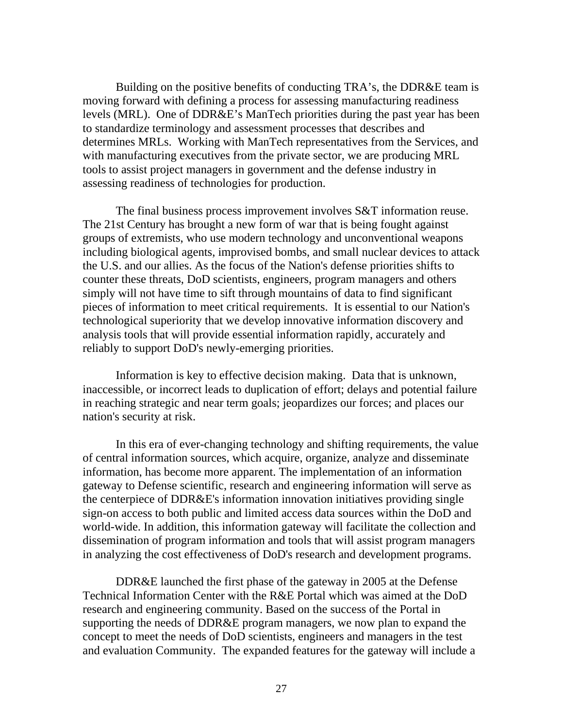Building on the positive benefits of conducting TRA's, the DDR&E team is moving forward with defining a process for assessing manufacturing readiness levels (MRL). One of DDR&E's ManTech priorities during the past year has been to standardize terminology and assessment processes that describes and determines MRLs. Working with ManTech representatives from the Services, and with manufacturing executives from the private sector, we are producing MRL tools to assist project managers in government and the defense industry in assessing readiness of technologies for production.

The final business process improvement involves S&T information reuse. The 21st Century has brought a new form of war that is being fought against groups of extremists, who use modern technology and unconventional weapons including biological agents, improvised bombs, and small nuclear devices to attack the U.S. and our allies. As the focus of the Nation's defense priorities shifts to counter these threats, DoD scientists, engineers, program managers and others simply will not have time to sift through mountains of data to find significant pieces of information to meet critical requirements. It is essential to our Nation's technological superiority that we develop innovative information discovery and analysis tools that will provide essential information rapidly, accurately and reliably to support DoD's newly-emerging priorities.

Information is key to effective decision making. Data that is unknown, inaccessible, or incorrect leads to duplication of effort; delays and potential failure in reaching strategic and near term goals; jeopardizes our forces; and places our nation's security at risk.

In this era of ever-changing technology and shifting requirements, the value of central information sources, which acquire, organize, analyze and disseminate information, has become more apparent. The implementation of an information gateway to Defense scientific, research and engineering information will serve as the centerpiece of DDR&E's information innovation initiatives providing single sign-on access to both public and limited access data sources within the DoD and world-wide. In addition, this information gateway will facilitate the collection and dissemination of program information and tools that will assist program managers in analyzing the cost effectiveness of DoD's research and development programs.

DDR&E launched the first phase of the gateway in 2005 at the Defense Technical Information Center with the R&E Portal which was aimed at the DoD research and engineering community. Based on the success of the Portal in supporting the needs of DDR&E program managers, we now plan to expand the concept to meet the needs of DoD scientists, engineers and managers in the test and evaluation Community. The expanded features for the gateway will include a